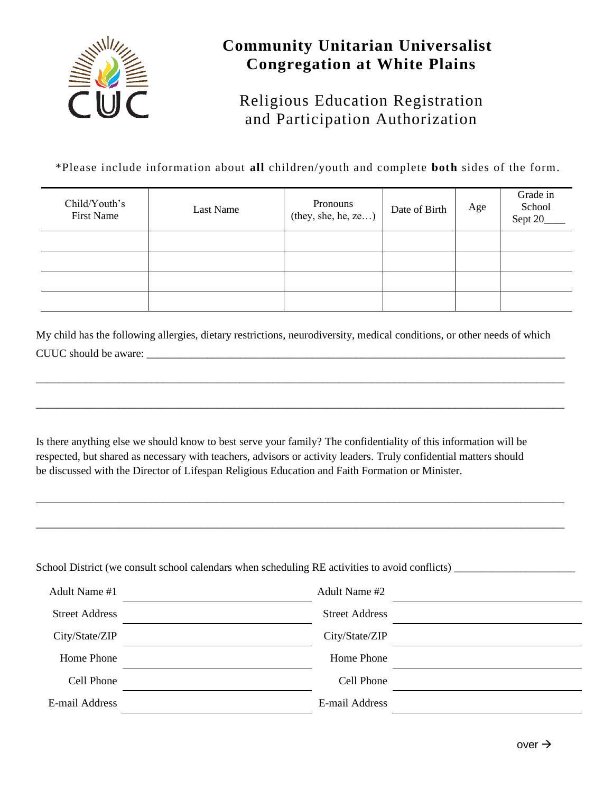

## **Community Unitarian Universalist Congregation at White Plains**

## Religious Education Registration and Participation Authorization

\*Please include information about **all** children/youth and complete **both** sides of the form.

| Child/Youth's<br><b>First Name</b> | Last Name | Pronouns<br>(they, she, he, ze) | Date of Birth | Age | Grade in<br>School<br>Sept 20_ |
|------------------------------------|-----------|---------------------------------|---------------|-----|--------------------------------|
|                                    |           |                                 |               |     |                                |
|                                    |           |                                 |               |     |                                |
|                                    |           |                                 |               |     |                                |
|                                    |           |                                 |               |     |                                |

My child has the following allergies, dietary restrictions, neurodiversity, medical conditions, or other needs of which CUUC should be aware:

\_\_\_\_\_\_\_\_\_\_\_\_\_\_\_\_\_\_\_\_\_\_\_\_\_\_\_\_\_\_\_\_\_\_\_\_\_\_\_\_\_\_\_\_\_\_\_\_\_\_\_\_\_\_\_\_\_\_\_\_\_\_\_\_\_\_\_\_\_\_\_\_\_\_\_\_\_\_\_\_\_\_\_\_\_\_\_\_\_\_\_\_\_\_\_\_

\_\_\_\_\_\_\_\_\_\_\_\_\_\_\_\_\_\_\_\_\_\_\_\_\_\_\_\_\_\_\_\_\_\_\_\_\_\_\_\_\_\_\_\_\_\_\_\_\_\_\_\_\_\_\_\_\_\_\_\_\_\_\_\_\_\_\_\_\_\_\_\_\_\_\_\_\_\_\_\_\_\_\_\_\_\_\_\_\_\_\_\_\_\_\_\_

\_\_\_\_\_\_\_\_\_\_\_\_\_\_\_\_\_\_\_\_\_\_\_\_\_\_\_\_\_\_\_\_\_\_\_\_\_\_\_\_\_\_\_\_\_\_\_\_\_\_\_\_\_\_\_\_\_\_\_\_\_\_\_\_\_\_\_\_\_\_\_\_\_\_\_\_\_\_\_\_\_\_\_\_\_\_\_\_\_\_\_\_\_\_\_\_

\_\_\_\_\_\_\_\_\_\_\_\_\_\_\_\_\_\_\_\_\_\_\_\_\_\_\_\_\_\_\_\_\_\_\_\_\_\_\_\_\_\_\_\_\_\_\_\_\_\_\_\_\_\_\_\_\_\_\_\_\_\_\_\_\_\_\_\_\_\_\_\_\_\_\_\_\_\_\_\_\_\_\_\_\_\_\_\_\_\_\_\_\_\_\_\_

Is there anything else we should know to best serve your family? The confidentiality of this information will be respected, but shared as necessary with teachers, advisors or activity leaders. Truly confidential matters should be discussed with the Director of Lifespan Religious Education and Faith Formation or Minister.

School District (we consult school calendars when scheduling RE activities to avoid conflicts) \_\_\_\_\_\_\_\_\_\_\_\_\_\_\_\_\_\_\_\_\_\_

| Adult Name #1         | Adult Name #2         |  |
|-----------------------|-----------------------|--|
| <b>Street Address</b> | <b>Street Address</b> |  |
| City/State/ZIP        | City/State/ZIP        |  |
| Home Phone            | Home Phone            |  |
| Cell Phone            | Cell Phone            |  |
| E-mail Address        | E-mail Address        |  |